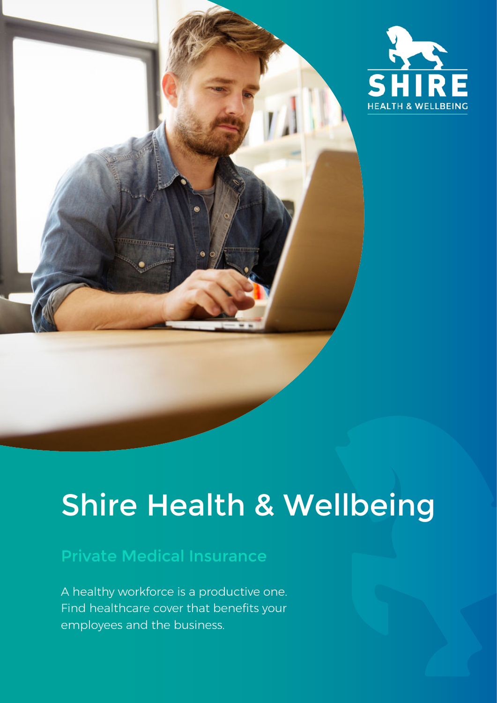

### Н **HEALTH & WELLBEING**

## Shire Health & Wellbeing

### Private Medical Insurance

A healthy workforce is a productive one. Find healthcare cover that benefits your employees and the business.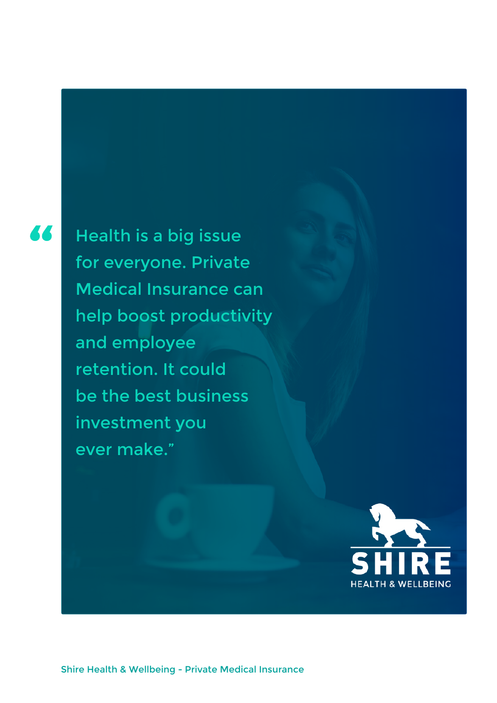### 36

Health is a big issue for everyone. Private Medical Insurance can help boost productivity and employee retention. It could be the best business investment you ever make."

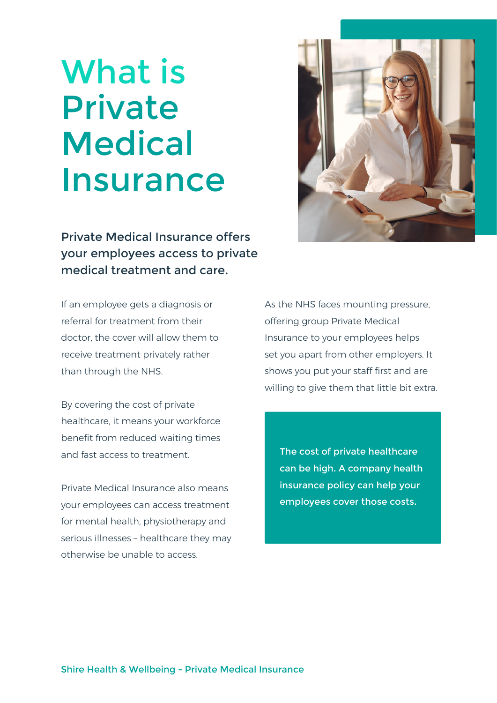# What is Private **Medical** Insurance

Private Medical Insurance offers your employees access to private medical treatment and care.

If an employee gets a diagnosis or referral for treatment from their doctor, the cover will allow them to receive treatment privately rather than through the NHS.

By covering the cost of private healthcare, it means your workforce benefit from reduced waiting times and fast access to treatment.

Private Medical Insurance also means your employees can access treatment for mental health, physiotherapy and serious illnesses – healthcare they may otherwise be unable to access.



As the NHS faces mounting pressure, offering group Private Medical Insurance to your employees helps set you apart from other employers. It shows you put your staff first and are willing to give them that little bit extra.

The cost of private healthcare can be high. A company health insurance policy can help your employees cover those costs.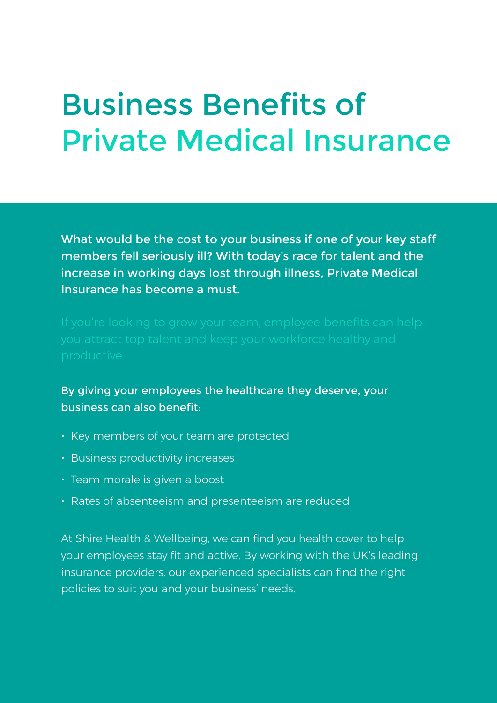### Business Benefits of Private Medical Insurance

What would be the cost to your business if one of your key staff members fell seriously ill? With today's race for talent and the increase in working days lost through illness, Private Medical Insurance has become a must.

By giving your employees the healthcare they deserve, your business can also benefit:

- Key members of your team are protected
- Business productivity increases
- Team morale is given a boost
- Rates of absenteeism and presenteeism are reduced

At Shire Health & Wellbeing, we can find you health cover to help your employees stay fit and active. By working with the UK's leading insurance providers, our experienced specialists can find the right policies to suit you and your business' needs.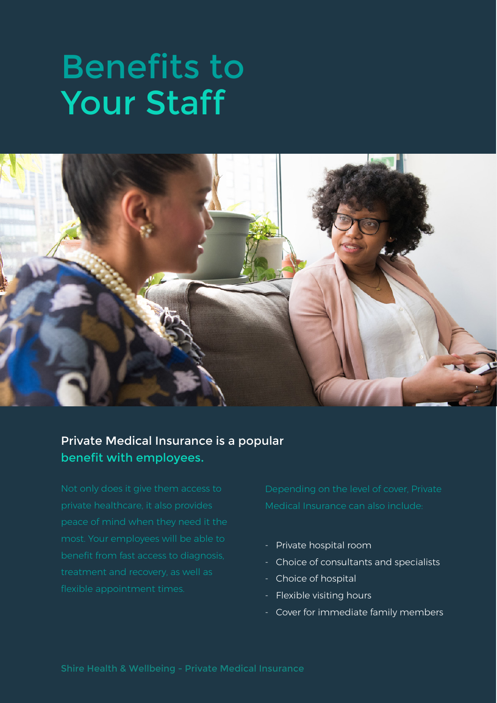# Benefits to Your Staff



#### Private Medical Insurance is a popular benefit with employees.

Medical Insurance can also include:

- Private hospital room
- Choice of consultants and specialists
- Choice of hospital
- Flexible visiting hours
- Cover for immediate family members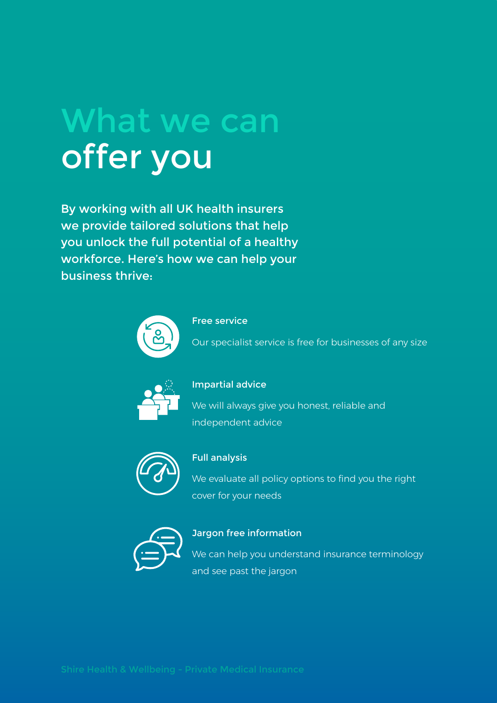# What we can offer you

By working with all UK health insurers we provide tailored solutions that help you unlock the full potential of a healthy workforce. Here's how we can help your business thrive:



#### Free service

Our specialist service is free for businesses of any size



#### Impartial advice

We will always give you honest, reliable and independent advice



#### Full analysis

We evaluate all policy options to find you the right cover for your needs



#### Jargon free information

We can help you understand insurance terminology and see past the jargon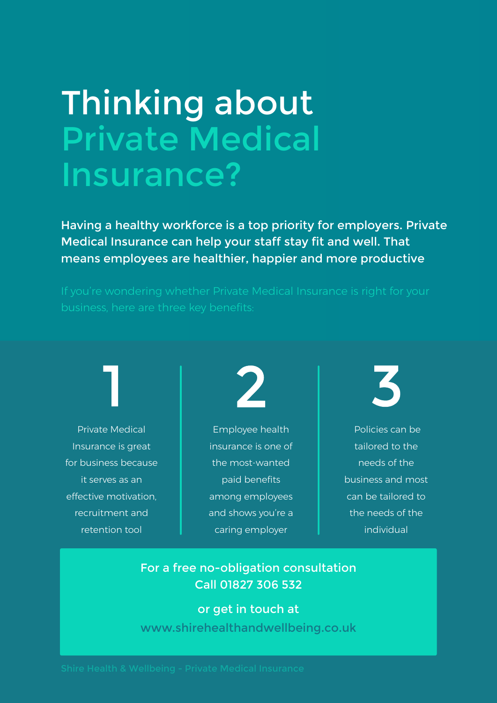# Thinking about Private Medical Insurance?

Having a healthy workforce is a top priority for employers. Private Medical Insurance can help your staff stay fit and well. That means employees are healthier, happier and more productive

Private Medical Insurance is great for business because it serves as an effective motivation, recruitment and retention tool



Employee health insurance is one of the most-wanted paid benefits among employees and shows you're a caring employer



 Policies can be tailored to the needs of the business and most can be tailored to the needs of the individual

#### For a free no-obligation consultation Call 01827 306 532

or get in touch at www.shirehealthandwellbeing.co.uk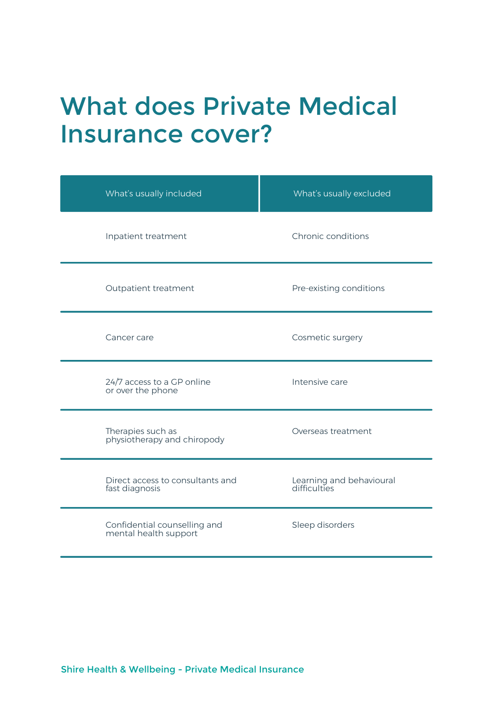### What does Private Medical Insurance cover?

| What's usually included                               | What's usually excluded                  |
|-------------------------------------------------------|------------------------------------------|
| Inpatient treatment                                   | Chronic conditions                       |
| Outpatient treatment                                  | Pre-existing conditions                  |
| Cancer care                                           | Cosmetic surgery                         |
| 24/7 access to a GP online<br>or over the phone       | Intensive care                           |
| Therapies such as<br>physiotherapy and chiropody      | Overseas treatment                       |
| Direct access to consultants and<br>fast diagnosis    | Learning and behavioural<br>difficulties |
| Confidential counselling and<br>mental health support | Sleep disorders                          |